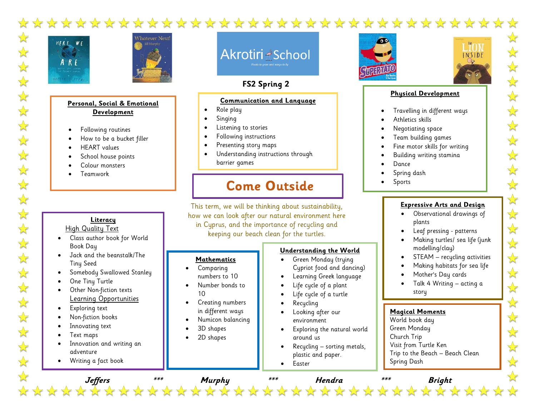



### **Personal, Social & Emotional Development**

- Following routines
- How to be a bucket filler
- HEART values
- School house points
- Colour monsters
- Teamwork

### **Literacy** High Quality Text

- Class author book for World Book Day
- Jack and the beanstalk/The Tiny Seed
- Somebody Swallowed Stanley
- One Tiny Turtle
- Other Non-fiction texts Learning Opportunities
- Exploring text
- Non-fiction books
- Innovating text
- Text maps
- Innovation and writing an adventure
- Writing a fact book

Akrotiri <u>A</u>School

# **FS2 Spring 2** 2

### **Communication and Language**

- Role play
- Singing

• Comparing numbers to 10 • Number bonds to

• Creating numbers in different ways • Numicon balancing

> • 3D shapes • 2D shapes

10

- Listening to stories
- Following instructions
- Presenting story maps
- Understanding instructions through barrier games

# **Come Outside**

This term, we will be thinking about sustainability, how we can look after our natural environment here in Cyprus, and the importance of recycling and keeping our beach clean for the turtles.

#### **Mathematics Understanding the World**

- Green Monday (trying Cypriot food and dancing)
	- Learning Greek language
	- Life cycle of a plant
	- Life cycle of a turtle
	- Recycling
	- Looking after our environment
	- Exploring the natural world around us
	- Recycling sorting metals, plastic and paper.
	- Easter





 $\sqrt{\frac{1}{2}}$ 

 $\frac{1}{\sqrt{2}}$ 

 $\frac{1}{2}$ 

 $\sqrt{\sqrt{\sqrt{2}}}$ 

 $\sqrt{\sqrt{\sqrt{3}}}$ 

 $\frac{1}{2}$ 

 $\sqrt{\sqrt{\sqrt{3}}}$ 

 $\frac{1}{\sqrt{2}}$ 

 $\sqrt{\sqrt{2}}$ 

 $\sqrt{\sqrt{2}}$ 

 $\sqrt{\sqrt{\sqrt{3}}}$ 

外外

计学科

### **Physical Development**

- Travelling in different ways
- Athletics skills
- Negotiating space
- Team building games
- Fine motor skills for writing
- Building writing stamina
- Dance
- Spring dash
- **Sports**

### **Expressive Arts and Design**

- Observational drawings of plants
- Leaf pressing patterns
- Making turtles/ sea life (junk modelling/clay)
- STEAM recycling activities
- Making habitats for sea life
- Mother's Day cards
- Talk 4 Writing acting a story

## **Magical Moments**

World book day Green Monday Church Trip Visit from Turtle Ken Trip to the Beach – Beach Clean Spring Dash

**Jeffers \*\*\* Murphy \*\*\* Hendra \*\*\* Bright**

• Mother's Day

- -